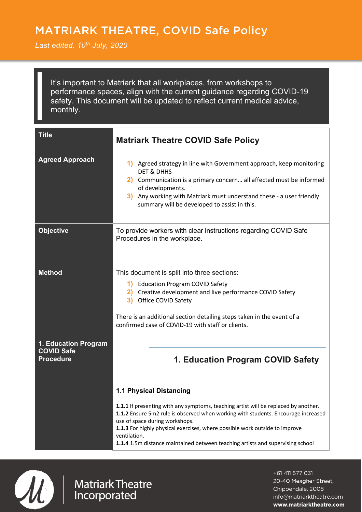## MATRIARK THEATRE, COVID Safe Policy

` *Last edited. 10th July, 2020*

It's important to Matriark that all workplaces, from workshops to performance spaces, align with the current guidance regarding COVID-19 safety. This document will be updated to reflect current medical advice, monthly.

| <b>Title</b>                                                  | <b>Matriark Theatre COVID Safe Policy</b>                                                                                                                                                                                                                                                                                                                                                                                                                          |
|---------------------------------------------------------------|--------------------------------------------------------------------------------------------------------------------------------------------------------------------------------------------------------------------------------------------------------------------------------------------------------------------------------------------------------------------------------------------------------------------------------------------------------------------|
| <b>Agreed Approach</b>                                        | 1) Agreed strategy in line with Government approach, keep monitoring<br><b>DET &amp; DHHS</b><br>2) Communication is a primary concern all affected must be informed<br>of developments.<br>3) Any working with Matriark must understand these - a user friendly<br>summary will be developed to assist in this.                                                                                                                                                   |
| <b>Objective</b>                                              | To provide workers with clear instructions regarding COVID Safe<br>Procedures in the workplace.                                                                                                                                                                                                                                                                                                                                                                    |
| <b>Method</b>                                                 | This document is split into three sections:<br>1) Education Program COVID Safety<br>Creative development and live performance COVID Safety<br>2)<br>3) Office COVID Safety<br>There is an additional section detailing steps taken in the event of a<br>confirmed case of COVID-19 with staff or clients.                                                                                                                                                          |
| 1. Education Program<br><b>COVID Safe</b><br><b>Procedure</b> | 1. Education Program COVID Safety<br><b>1.1 Physical Distancing</b><br>1.1.1 If presenting with any symptoms, teaching artist will be replaced by another.<br>1.1.2 Ensure 5m2 rule is observed when working with students. Encourage increased<br>use of space during workshops.<br>1.1.3 For highly physical exercises, where possible work outside to improve<br>ventilation.<br>1.1.4 1.5m distance maintained between teaching artists and supervising school |



## **Matriark Theatre** Incorporated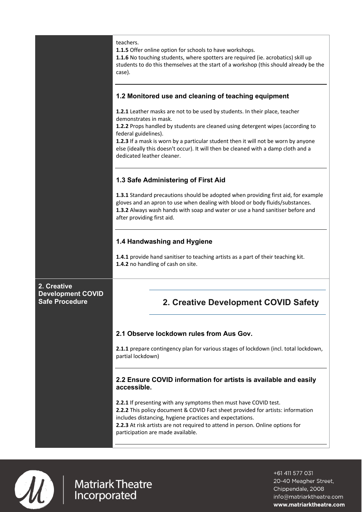|                                                                  | teachers.<br>1.1.5 Offer online option for schools to have workshops.<br>1.1.6 No touching students, where spotters are required (ie. acrobatics) skill up<br>students to do this themselves at the start of a workshop (this should already be the<br>case).                                                                                                                                                             |
|------------------------------------------------------------------|---------------------------------------------------------------------------------------------------------------------------------------------------------------------------------------------------------------------------------------------------------------------------------------------------------------------------------------------------------------------------------------------------------------------------|
|                                                                  | 1.2 Monitored use and cleaning of teaching equipment                                                                                                                                                                                                                                                                                                                                                                      |
|                                                                  | 1.2.1 Leather masks are not to be used by students. In their place, teacher<br>demonstrates in mask.<br>1.2.2 Props handled by students are cleaned using detergent wipes (according to<br>federal guidelines).<br>1.2.3 If a mask is worn by a particular student then it will not be worn by anyone<br>else (ideally this doesn't occur). It will then be cleaned with a damp cloth and a<br>dedicated leather cleaner. |
|                                                                  | 1.3 Safe Administering of First Aid                                                                                                                                                                                                                                                                                                                                                                                       |
|                                                                  | 1.3.1 Standard precautions should be adopted when providing first aid, for example<br>gloves and an apron to use when dealing with blood or body fluids/substances.<br>1.3.2 Always wash hands with soap and water or use a hand sanitiser before and<br>after providing first aid.                                                                                                                                       |
|                                                                  | 1.4 Handwashing and Hygiene                                                                                                                                                                                                                                                                                                                                                                                               |
|                                                                  | 1.4.1 provide hand sanitiser to teaching artists as a part of their teaching kit.<br>1.4.2 no handling of cash on site.                                                                                                                                                                                                                                                                                                   |
| 2. Creative<br><b>Development COVID</b><br><b>Safe Procedure</b> | <b>Creative Development COVID Safety</b>                                                                                                                                                                                                                                                                                                                                                                                  |
|                                                                  | 2.1 Observe lockdown rules from Aus Gov.                                                                                                                                                                                                                                                                                                                                                                                  |
|                                                                  | 2.1.1 prepare contingency plan for various stages of lockdown (incl. total lockdown,<br>partial lockdown)                                                                                                                                                                                                                                                                                                                 |
|                                                                  | 2.2 Ensure COVID information for artists is available and easily<br>accessible.                                                                                                                                                                                                                                                                                                                                           |
|                                                                  | 2.2.1 If presenting with any symptoms then must have COVID test.<br>2.2.2 This policy document & COVID Fact sheet provided for artists: information<br>includes distancing, hygiene practices and expectations.<br>2.2.3 At risk artists are not required to attend in person. Online options for<br>participation are made available.                                                                                    |



Matriark Theatre<br>Incorporated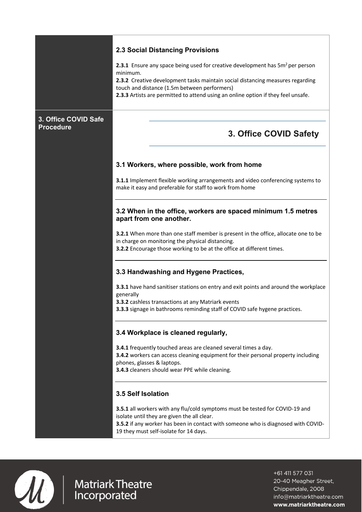## **2.3 Social Distancing Provisions 2.3.1** Ensure any space being used for creative development has 5m<sup>2</sup> per person minimum. **2.3.2** Creative development tasks maintain social distancing measures regarding touch and distance (1.5m between performers) **2.3.3** Artists are permitted to attend using an online option if they feel unsafe. **3. Office COVID Safe Procedure 3. Office COVID Safety 3.1 Workers, where possible, work from home 3.1.1** Implement flexible working arrangements and video conferencing systems to make it easy and preferable for staff to work from home **3.2 When in the office, workers are spaced minimum 1.5 metres apart from one another. 3.2.1** When more than one staff member is present in the office, allocate one to be in charge on monitoring the physical distancing. **3.2.2** Encourage those working to be at the office at different times. **3.3 Handwashing and Hygene Practices, 3.3.1** have hand sanitiser stations on entry and exit points and around the workplace generally **3.3.2** cashless transactions at any Matriark events **3.3.3** signage in bathrooms reminding staff of COVID safe hygene practices. **3.4 Workplace is cleaned regularly, 3.4.1** frequently touched areas are cleaned several times a day. **3.4.2** workers can access cleaning equipment for their personal property including phones, glasses & laptops. **3.4.3** cleaners should wear PPE while cleaning. **3.5 Self Isolation 3.5.1** all workers with any flu/cold symptoms must be tested for COVID-19 and isolate until they are given the all clear. **3.5.2** if any worker has been in contact with someone who is diagnosed with COVID-19 they must self-isolate for 14 days.



**AND** Matriark Theatre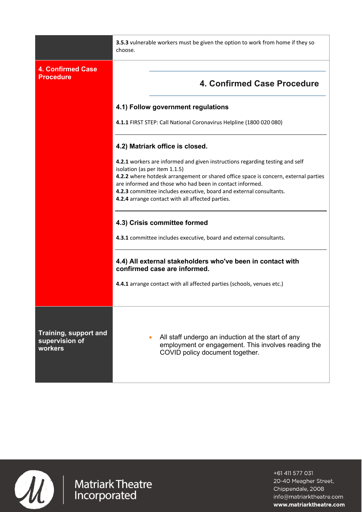|                                                    | 3.5.3 vulnerable workers must be given the option to work from home if they so<br>choose.                                                                                                                                                                                                                                                                                                   |
|----------------------------------------------------|---------------------------------------------------------------------------------------------------------------------------------------------------------------------------------------------------------------------------------------------------------------------------------------------------------------------------------------------------------------------------------------------|
| <b>4. Confirmed Case</b><br><b>Procedure</b>       | 4. Confirmed Case Procedure                                                                                                                                                                                                                                                                                                                                                                 |
|                                                    | 4.1) Follow government regulations                                                                                                                                                                                                                                                                                                                                                          |
|                                                    | 4.1.1 FIRST STEP: Call National Coronavirus Helpline (1800 020 080)                                                                                                                                                                                                                                                                                                                         |
|                                                    | 4.2) Matriark office is closed.                                                                                                                                                                                                                                                                                                                                                             |
|                                                    | 4.2.1 workers are informed and given instructions regarding testing and self<br>isolation (as per item 1.1.5)<br>4.2.2 where hotdesk arrangement or shared office space is concern, external parties<br>are informed and those who had been in contact informed.<br>4.2.3 committee includes executive, board and external consultants.<br>4.2.4 arrange contact with all affected parties. |
|                                                    | 4.3) Crisis committee formed<br>4.3.1 committee includes executive, board and external consultants.                                                                                                                                                                                                                                                                                         |
|                                                    | 4.4) All external stakeholders who've been in contact with<br>confirmed case are informed.                                                                                                                                                                                                                                                                                                  |
|                                                    | 4.4.1 arrange contact with all affected parties (schools, venues etc.)                                                                                                                                                                                                                                                                                                                      |
| Training, support and<br>supervision of<br>workers | All staff undergo an induction at the start of any<br>employment or engagement. This involves reading the<br>COVID policy document together.                                                                                                                                                                                                                                                |



Matriark Theatre<br>Incorporated